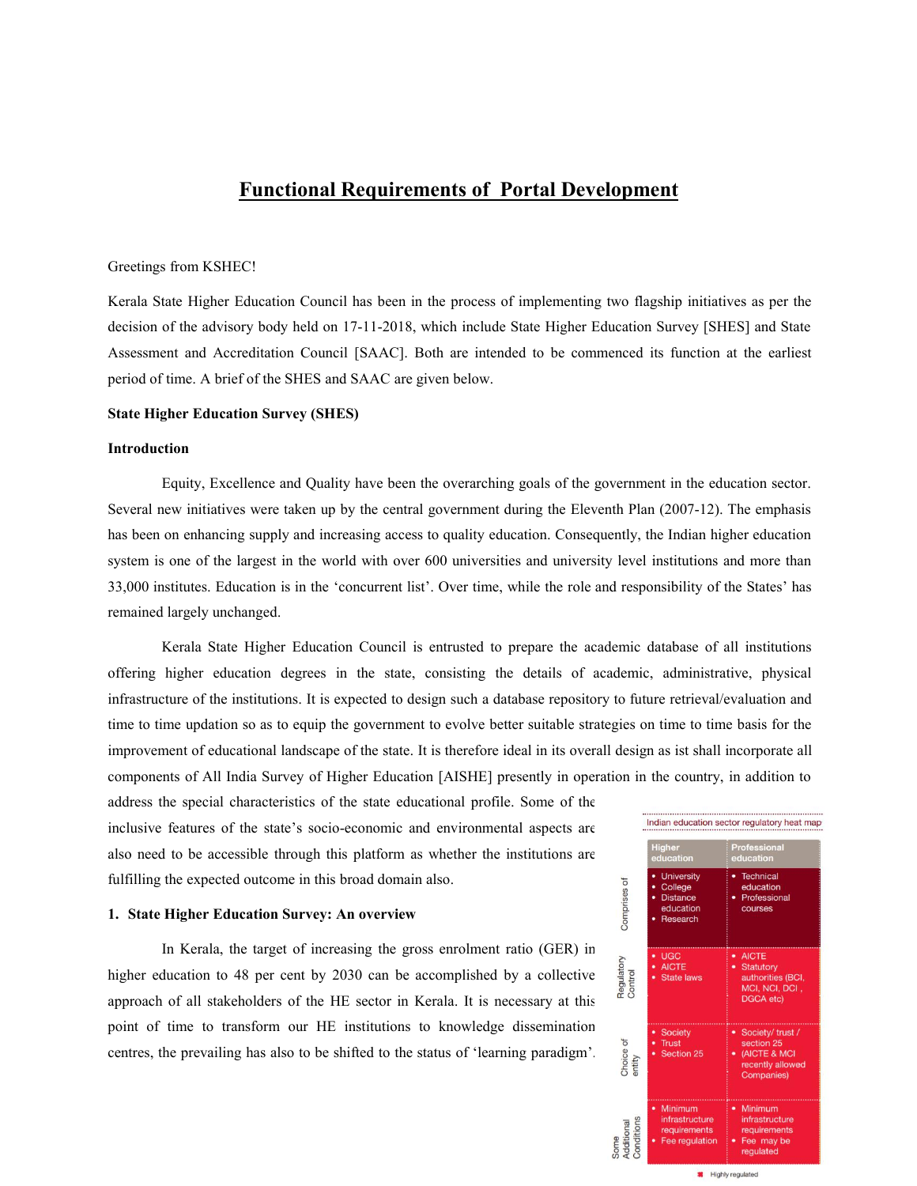## **Functional Requirements of Portal Development**

#### Greetings from KSHEC!

Kerala State Higher Education Council has been in the process of implementing two flagship initiatives as per the decision of the advisory body held on 17-11-2018, which include State Higher Education Survey [SHES] and State Assessment and Accreditation Council [SAAC]. Both are intended to be commenced its function at the earliest period of time. A brief of the SHES and SAAC are given below.

#### **State Higher Education Survey (SHES)**

#### **Introduction**

Equity, Excellence and Quality have been the overarching goals of the government in the education sector. Several new initiatives were taken up by the central government during the Eleventh Plan (2007-12). The emphasis has been on enhancing supply and increasing access to quality education. Consequently, the Indian higher education system is one of the largest in the world with over 600 universities and university level institutions and more than 33,000 institutes. Education is in the 'concurrent list'. Over time, while the role and responsibility of the States' has remained largely unchanged.

Kerala State Higher Education Council is entrusted to prepare the academic database of all institutions offering higher education degrees in the state, consisting the details of academic, administrative, physical infrastructure of the institutions. It is expected to design such a database repository to future retrieval/evaluation and time to time updation so as to equip the government to evolve better suitable strategies on time to time basis for the improvement of educational landscape of the state. It is therefore ideal in its overall design as ist shall incorporate all components of All India Survey of Higher Education [AISHE] presently in operation in the country, in addition to

address the special characteristics of the state educational profile. Some of the inclusive features of the state's socio-economic and environmental aspects are also need to be accessible through this platform as whether the institutions are fulfilling the expected outcome in this broad domain also.

# **1. State Higher Education Survey: An overview**

In Kerala, the target of increasing the gross enrolment ratio (GER) in<br>ducation to 48 per cent by 2030 can be accomplished by a collective<br>of all stake laws<br>of all stake laws<br> $\frac{1}{2}$  and  $\frac{1}{2}$  and  $\frac{1}{2}$  and  $\frac{$ higher education to 48 per cent by 2030 can be accomplished by a collective  $\frac{2}{3}$ approach of all stakeholders of the HE sector in Kerala. It is necessary at this point of time to transform our HE institutions to knowledge dissemination<br>centres, the prevailing has also to be shifted to the status of 'learning paradigm'. centres, the prevailing has also to be shifted to the status of 'learning paradigm'.  $\frac{8}{3}$ 

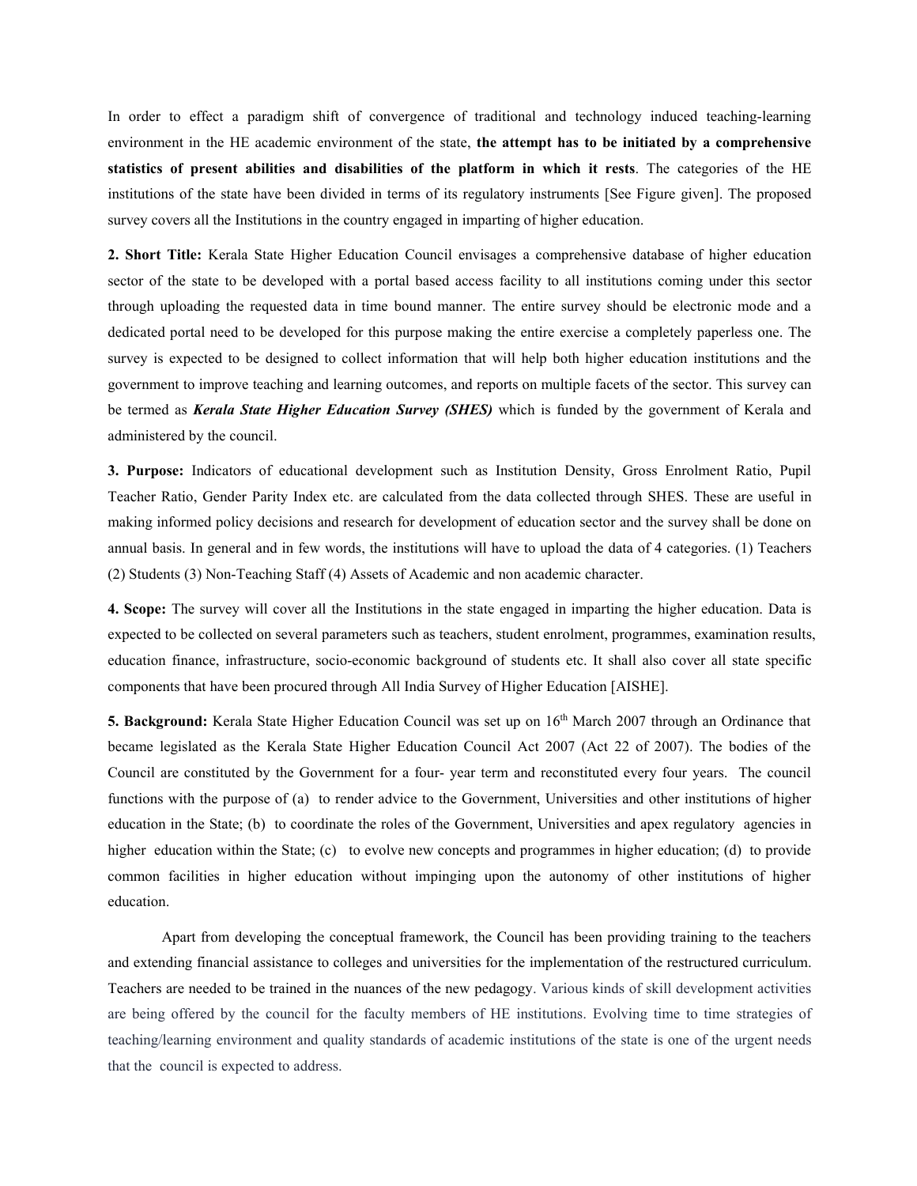In order to effect a paradigm shift of convergence of traditional and technology induced teaching-learning environment in the HE academic environment of the state, **the attempt has to be initiated by a comprehensive statistics of present abilities and disabilities of the platform in which itrests**. The categories of the HE institutions of the state have been divided in terms of its regulatory instruments [See Figure given]. The proposed survey covers all the Institutions in the country engaged in imparting of higher education.

**2. Short Title:** Kerala State Higher Education Council envisages a comprehensive database of higher education sector of the state to be developed with a portal based access facility to all institutions coming under this sector through uploading the requested data in time bound manner. The entire survey should be electronic mode and a dedicated portal need to be developed for this purpose making the entire exercise a completely paperless one. The survey is expected to be designed to collect information that will help both higher education institutions and the government to improve teaching and learning outcomes, and reports on multiple facets of the sector. This survey can be termed as *Kerala State Higher Education Survey (SHES)* which is funded by the government of Kerala and administered by the council.

**3. Purpose:** Indicators of educational development such as Institution Density, Gross Enrolment Ratio, Pupil Teacher Ratio, Gender Parity Index etc. are calculated from the data collected through SHES. These are useful in making informed policy decisions and research for development of education sector and the survey shall be done on annual basis. In general and in few words, the institutions will have to upload the data of 4 categories. (1) Teachers (2) Students (3) Non-Teaching Staff (4) Assets of Academic and non academic character.

**4. Scope:** The survey will cover all the Institutions in the state engaged in imparting the higher education. Data is expected to be collected on several parameters such as teachers, student enrolment, programmes, examination results, education finance, infrastructure, socio-economic background of students etc. It shall also cover all state specific components that have been procured through All India Survey of Higher Education [AISHE].

**5. Background:** Kerala State Higher Education Council was set up on 16<sup>th</sup> March 2007 through an Ordinance that became legislated as the Kerala State Higher Education Council Act 2007 (Act 22 of 2007). The bodies of the Council are constituted by the Government for a four- year term and reconstituted every four years.The council functions with the purpose of (a) to render advice to the Government, Universities and other institutions of higher education in the State; (b) to coordinate the roles of the Government, Universities and apex regulatory agencies in higher education within the State; (c) to evolve new concepts and programmes in higher education; (d) to provide common facilities in higher education without impinging upon the autonomy of other institutions of higher education.<br>Apart from developing the conceptual framework, the Council has been providing training to the teachers

and extending financial assistance to colleges and universities for the implementation of the restructured curriculum. Teachers are needed to be trained in the nuances of the new pedagogy. Various kinds of skill development activities are being offered by the council for the faculty members of HE institutions. Evolving time to time strategies of teaching/learning environment and quality standards of academic institutions of the state is one of the urgent needs that the council is expected to address.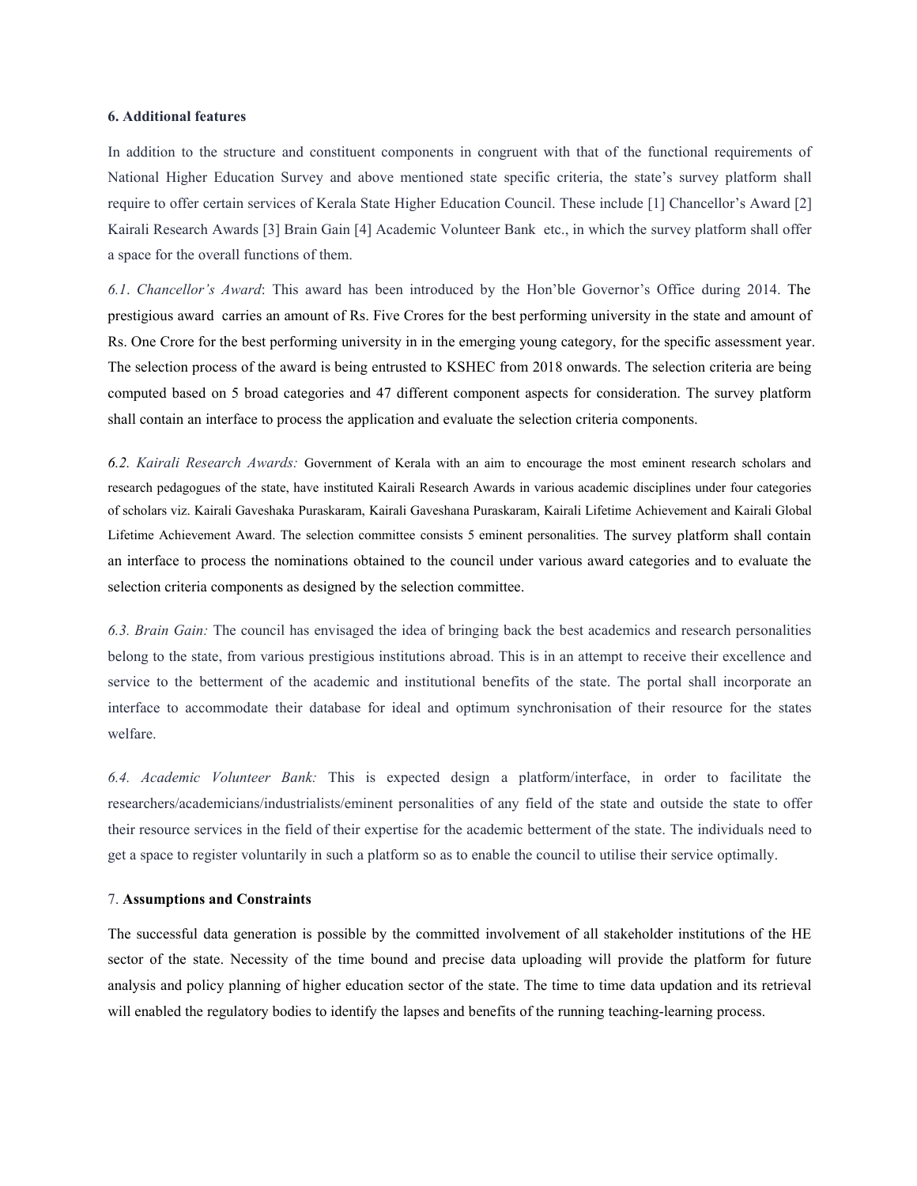#### **6. Additional features**

In addition to the structure and constituent components in congruent with that of the functional requirements of National Higher Education Survey and above mentioned state specific criteria, the state's survey platform shall require to offer certain services of Kerala State Higher Education Council. These include [1] Chancellor's Award [2] Kairali Research Awards [3] Brain Gain [4] Academic Volunteer Bank etc., in which the survey platform shall offer a space for the overall functions of them.

*6.1*. *Chancellor's Award*: This award has been introduced by the Hon'ble Governor's Office during 2014. The prestigious award carries an amount of Rs.Five Crores for the best performing university in the state and amount of Rs. One Crore for the best performing university in in the emerging young category, for the specific assessment year. The selection process ofthe award is being entrusted to KSHEC from 2018 onwards. The selection criteria are being computed based on 5 broad categories and 47 different component aspects for consideration. The survey platform shall contain an interface to process the application and evaluate the selection criteria components.

*6.2. Kairali Research Awards:* Government of Kerala with an aim to encourage the most eminent research scholars and research pedagogues of the state, have instituted Kairali Research Awards in various academic disciplines under four categories of scholars viz. Kairali Gaveshaka Puraskaram, Kairali Gaveshana Puraskaram, Kairali Lifetime Achievement and Kairali Global Lifetime Achievement Award. The selection committee consists 5 eminent personalities. The survey platform shall contain an interface to process the nominations obtained to the council under various award categories and to evaluate the selection criteria components as designed by the selection committee.

*6.3. Brain Gain:* The council has envisaged the idea of bringing back the best academics and research personalities belong to the state, from various prestigious institutions abroad. This is in an attempt to receive their excellence and service to the betterment of the academic and institutional benefits of the state. The portal shall incorporate an interface to accommodate their database for ideal and optimum synchronisation of their resource for the states welfare.

*6.4. Academic Volunteer Bank:* This is expected design a platform/interface, in order to facilitate the researchers/academicians/industrialists/eminent personalities of any field of the state and outside the state to offer their resource services in the field of their expertise for the academic betterment of the state. The individuals need to get a space to register voluntarily in such a platform so as to enable the council to utilise their service optimally.

#### 7. **Assumptions and Constraints**

The successful data generation is possible by the committed involvement of all stakeholder institutions of the HE sector of the state. Necessity of the time bound and precise data uploading will provide the platform for future analysis and policy planning of higher education sector of the state. The time to time data updation and its retrieval will enabled the regulatory bodies to identify the lapses and benefits of the running teaching-learning process.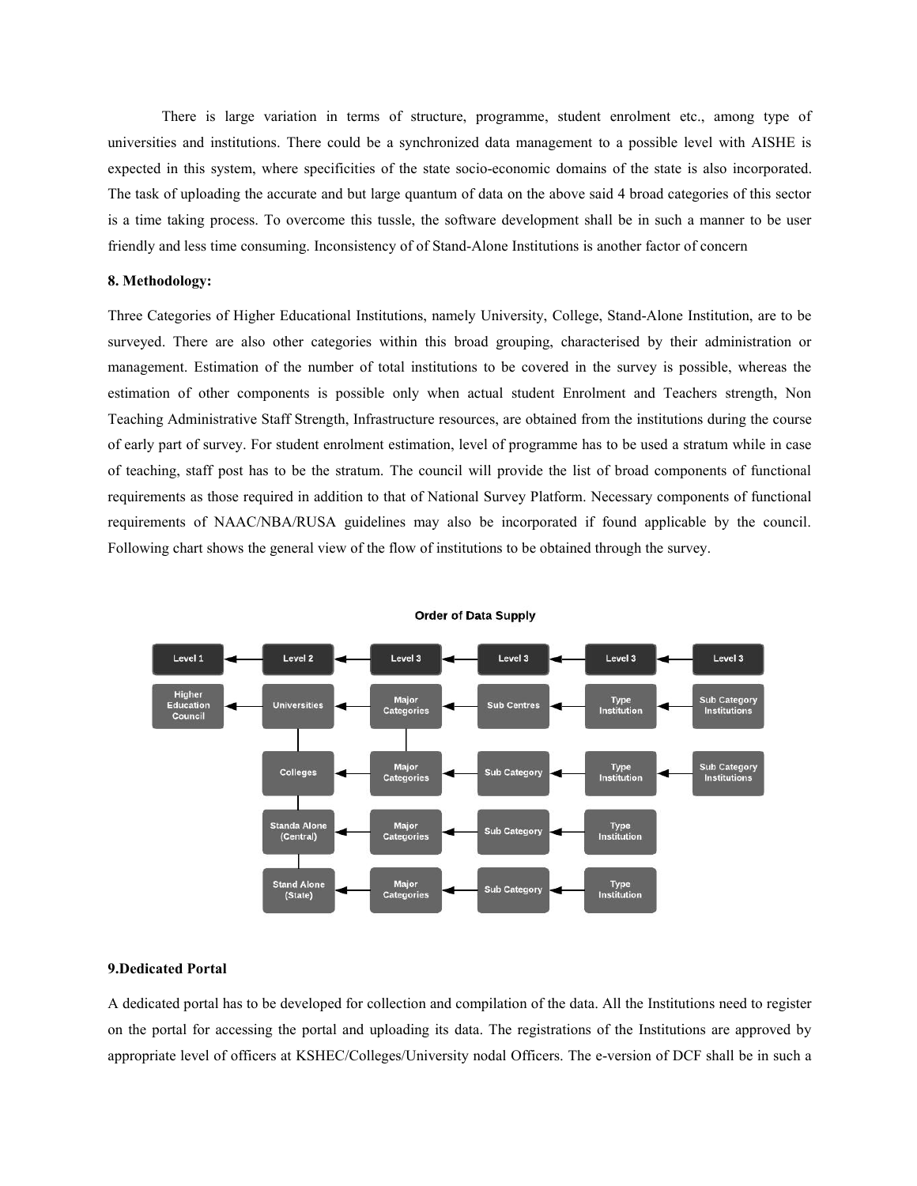There is large variation in terms of structure, programme, student enrolment etc., among type of universities and institutions. There could be a synchronized data management to a possible level with AISHE is expected in this system, where specificities of the state socio-economic domains of the state is also incorporated. The task of uploading the accurate and but large quantum of data on the above said 4 broad categories of this sector is a time taking process. To overcome this tussle, the software development shall be in such a manner to be user friendly and less time consuming. Inconsistency of of Stand-Alone Institutions is another factor of concern

#### **8. Methodology:**

Three Categories of Higher Educational Institutions, namely University, College, Stand-Alone Institution, are to be surveyed. There are also other categories within this broad grouping, characterised by their administration or management. Estimation of the number of total institutions to be covered in the survey is possible, whereas the estimation of other components is possible only when actual student Enrolment and Teachers strength, Non Teaching Administrative Staff Strength, Infrastructure resources, are obtained from the institutions during the course of early part of survey. For student enrolment estimation, level of programme has to be used a stratum while in case of teaching, staff post has to be the stratum.The council will provide the list of broad components of functional requirements as those required in addition to that of National Survey Platform. Necessary components of functional requirements of NAAC/NBA/RUSA guidelines may also be incorporated if found applicable by the council. Following chart shows the general view of the flow of institutions to be obtained through the survey.



**Order of Data Supply** 

#### **9.Dedicated Portal**

A dedicated portal has to be developed for collection and compilation of the data.All the Institutions need to register on the portal for accessing the portal and uploading its data. The registrations of the Institutions are approved by appropriate level of officers at KSHEC/Colleges/University nodal Officers. The e-version of DCF shall be in such a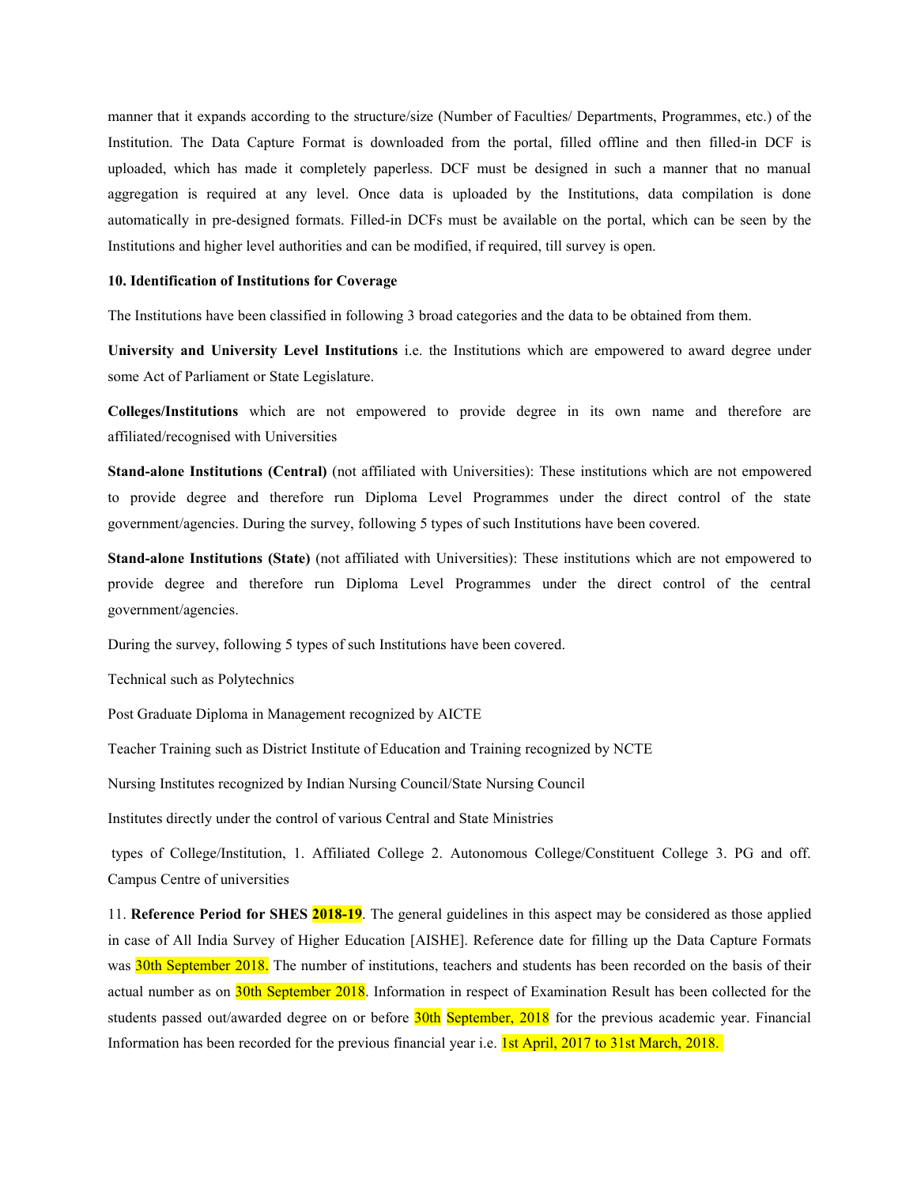manner that it expands according to the structure/size (Number of Faculties/ Departments, Programmes, etc.) of the Institution. The Data Capture Format is downloaded from the portal, filled offline and then filled-in DCF is uploaded, which has made it completely paperless. DCF must be designed in such a manner that no manual aggregation is required at any level. Once data is uploaded by the Institutions, data compilation is done automatically in pre-designed formats. Filled-in DCFs must be available on the portal, which can be seen by the Institutions and higher level authorities and can be modified, if required, till survey is open.

#### **10. Identification of Institutions for Coverage**

The Institutions have been classified in following 3 broad categories and the data to be obtained from them.

**University and University Level Institutions** i.e. the Institutions which are empowered to award degree under some Act of Parliament or State Legislature.

**Colleges/Institutions** which are not empowered to provide degree in its own name and therefore are affiliated/recognised with Universities

**Stand-alone Institutions (Central)** (not affiliated with Universities): These institutions which are not empowered to provide degree and therefore run Diploma Level Programmes under the direct control of the state government/agencies. During the survey, following 5 types of such Institutions have been covered.

**Stand-alone Institutions (State)** (not affiliated with Universities): These institutions which are not empowered to provide degree and therefore run Diploma Level Programmes under the direct control of the central government/agencies.

During the survey, following 5 types of such Institutions have been covered.

Technical such as Polytechnics

Post Graduate Diploma in Management recognized by AICTE

Teacher Training such as District Institute of Education and Training recognized by NCTE

Nursing Institutes recognized by Indian Nursing Council/State Nursing Council

Institutes directly under the control of various Central and State Ministries

types of College/Institution, 1. Affiliated College 2. Autonomous College/Constituent College 3. PG and off. Campus Centre of universities

11. **Reference Period for SHES 2018-19**. The general guidelines in this aspect may be considered as those applied in case of All India Survey of Higher Education [AISHE]. Reference date for filling up the Data Capture Formats was 30th September 2018. The number of institutions, teachers and students has been recorded on the basis of their actual number as on 30th September 2018. Information in respect of Examination Result has been collected for the students passed out/awarded degree on or before 30th September, 2018 for the previous academic year. Financial Information has been recorded for the previous financial year i.e. **1st April, 2017 to 31st March, 2018.**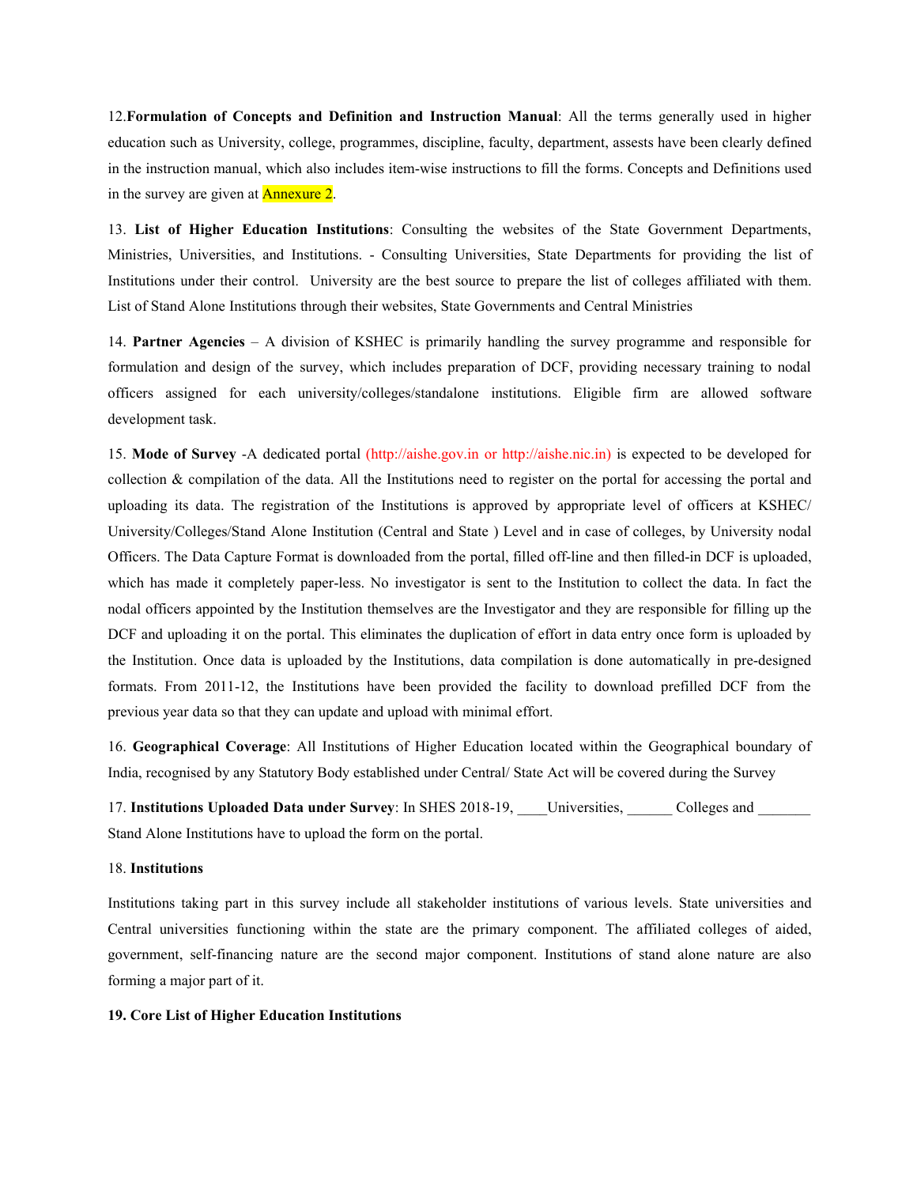12.**Formulation of Concepts and Definition and Instruction Manual**: All the terms generally used in higher education such as University, college, programmes, discipline, faculty, department, assests have been clearly defined in the instruction manual, which also includes item-wise instructions to fill the forms. Concepts and Definitions used in the survey are given at Annexure 2.

13. **List of Higher Education Institutions**: Consulting the websites of the State Government Departments, Ministries, Universities, and Institutions. - Consulting Universities, State Departments for providing the list of Institutions under their control. University are the best source to prepare the list of colleges affiliated with them.<br>List of Stand Alone Institutions through their websites, State Governments and Central Ministries

14. **Partner Agencies** – A division of KSHEC is primarily handling the survey programme and responsible for formulation and design of the survey, which includes preparation of DCF, providing necessary training to nodal officers assigned for each university/colleges/standalone institutions. Eligible firm are allowed software development task.

15. **Mode of Survey** -A dedicated portal (http://aishe.gov.in or http://aishe.nic.in) is expected to be developed for collection  $\&$  compilation of the data. All the Institutions need to register on the portal for accessing the portal and uploading its data. The registration of the Institutions is approved by appropriate level of officers at KSHEC/ University/Colleges/Stand Alone Institution (Central and State ) Level and in case of colleges, by University nodal Officers. The Data Capture Formatis downloaded from the portal, filled off-line and then filled-in DCF is uploaded, which has made it completely paper-less. No investigator is sent to the Institution to collect the data. In fact the nodal officers appointed by the Institution themselves are the Investigator and they are responsible for filling up the DCF and uploading it on the portal. This eliminates the duplication of effort in data entry once form is uploaded by the Institution. Once data isuploaded by the Institutions, data compilation is done automatically in pre-designed formats. From 2011-12, the Institutions have been provided the facility to download prefilled DCF from the previous year data so that they can update and upload with minimal effort.

16. **Geographical Coverage**: All Institutions of Higher Education located within the Geographical boundary of India, recognised by any Statutory Body established under Central/ State Act will be covered during the Survey

17. **Institutions Uploaded Data under Survey**: In SHES 2018-19, \_\_\_\_Universities, \_\_\_\_\_\_ Colleges and \_\_\_\_\_\_\_ Stand Alone Institutions have to upload the form on the portal.

#### 18. **Institutions**

Institutions taking part in this survey include all stakeholder institutions of various levels. State universities and Central universities functioning within the state are the primary component. The affiliated colleges of aided, government, self-financing nature are the second major component. Institutions of stand alone nature are also forming a major part of it.

#### **19. Core List of Higher Education Institutions**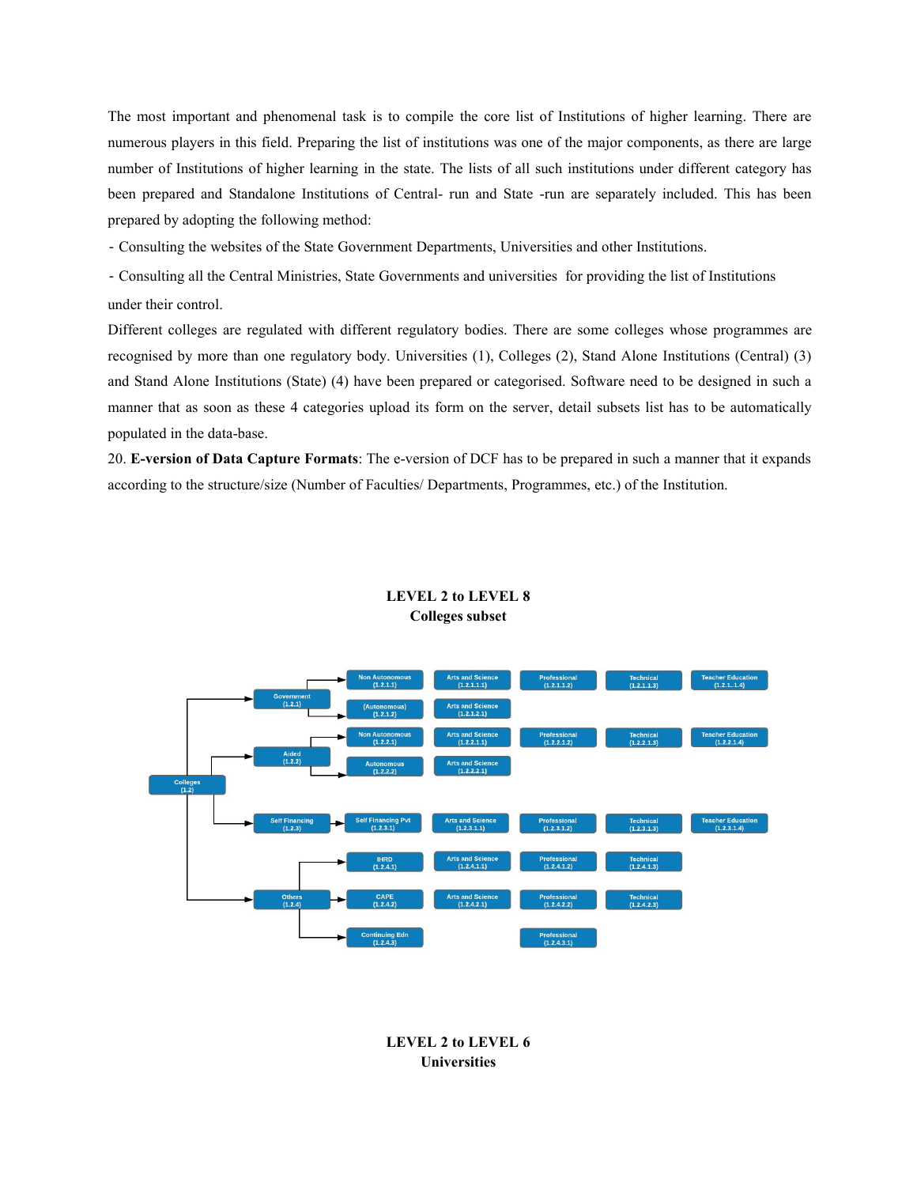The most important and phenomenal task is to compile the core list of Institutions of higher learning. There are numerous players in this field. Preparing the list of institutions was one of the major components, as there are large number of Institutions of higher learning in the state. The lists of all such institutions under different category has been prepared and Standalone Institutions of Central- run and State -run are separately included. This has been prepared by adopting the following method:

- Consulting the websites of the State Government Departments, Universities and other Institutions.

‐ Consulting all the Central Ministries, State Governments and universities for providing the list of Institutions under their control.

Different colleges are regulated with different regulatory bodies. There are some colleges whose programmes are recognised by more than one regulatory body. Universities (1), Colleges (2), Stand Alone Institutions (Central) (3) and Stand Alone Institutions (State) (4) have been prepared or categorised. Software need to be designed in such a manner that as soon as these 4 categories upload its form on the server, detail subsets list has to be automatically populated in the data-base.

20. **E-version of Data Capture Formats**: The e-version of DCF has to be prepared in such a manner that it expands according to the structure/size (Number of Faculties/ Departments, Programmes, etc.) of the Institution.



## **LEVEL 2 to LEVEL 8 Colleges subset**

**LEVEL 2 to LEVEL 6 Universities**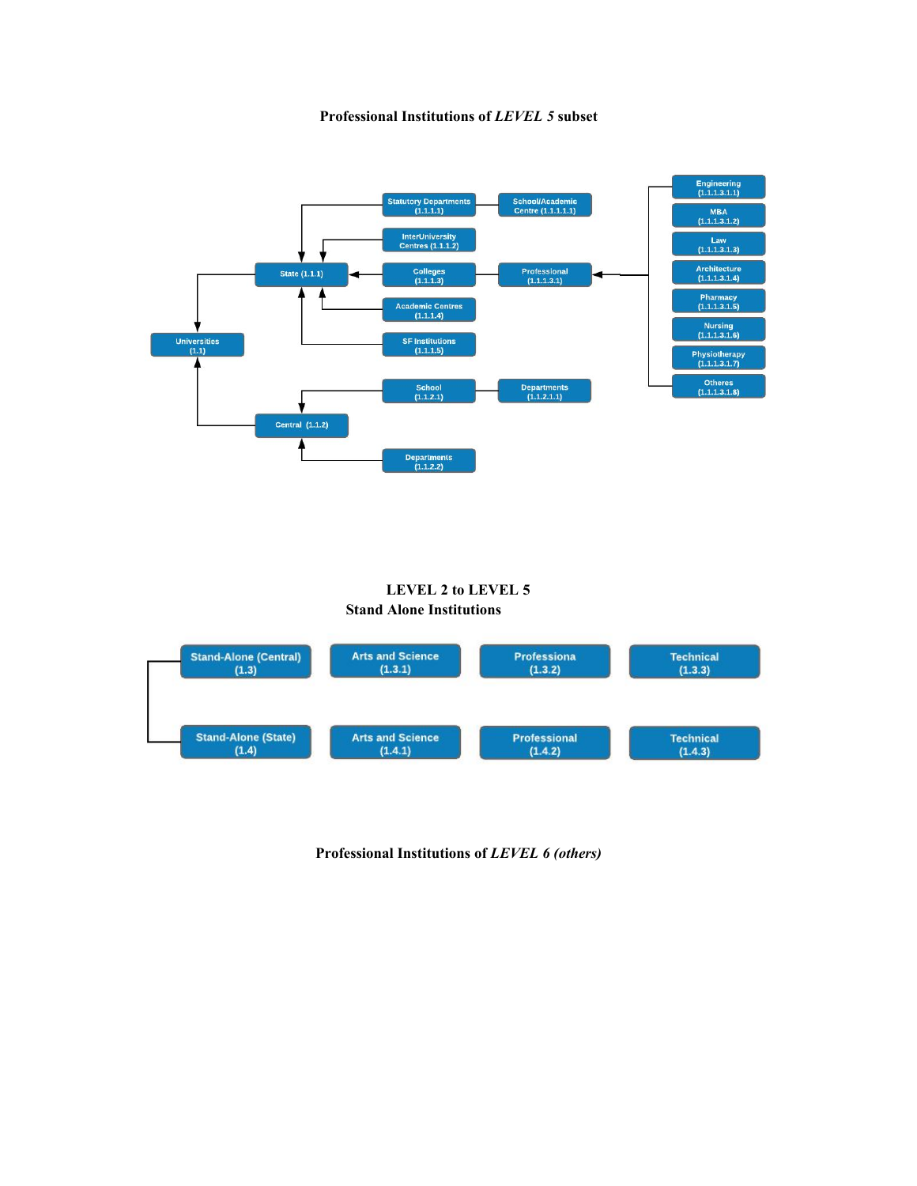



## **LEVEL 2 to LEVEL 5 Stand Alone Institutions**



**Professional Institutions of***LEVEL 6 (others)*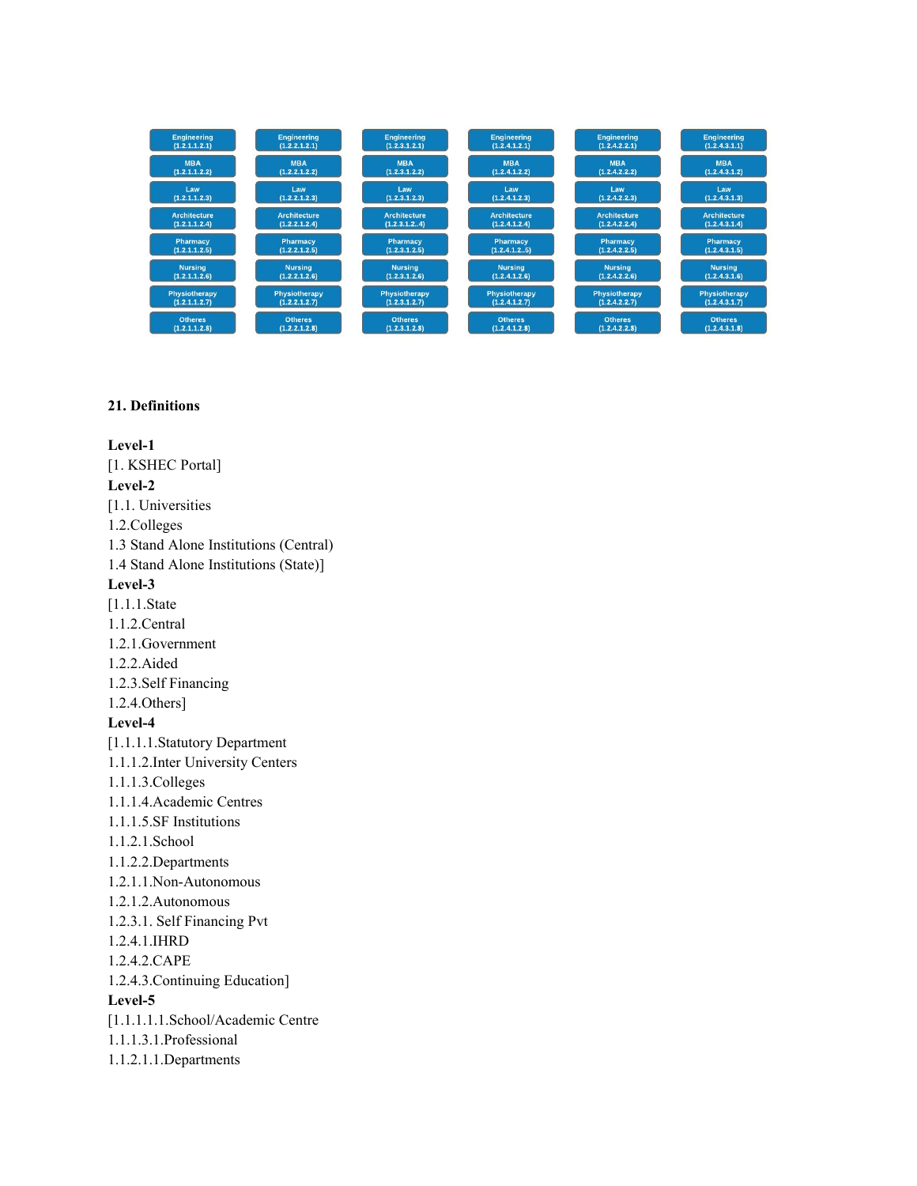| <b>Engineering</b>  | <b>Engineering</b>   | <b>Engineering</b>   | <b>Engineering</b>  | <b>Engineering</b>  | <b>Engineering</b>  |
|---------------------|----------------------|----------------------|---------------------|---------------------|---------------------|
| (1.2.1.1.2.1)       | (1.2.2.1.2.1)        | (1.2.3.1.2.1)        | (1.2.4.1.2.1)       | (1.2.4.2.2.1)       | (1.2.4.3.1.1)       |
| <b>MBA</b>          | <b>MBA</b>           | <b>MBA</b>           | <b>MBA</b>          | <b>MBA</b>          | <b>MBA</b>          |
| (1.2.1.1.2.2)       | (1.2.2.1.2.2)        | (1.2.3.1.2.2)        | (1.2.4.1.2.2)       | (1.2.4.2.2.2)       | (1.2.4.3.1.2)       |
| Law                 | Law                  | Law                  | Law                 | Law                 | Law                 |
| (1.2.1.1.2.3)       | (1.2.2.1.2.3)        | (1, 2, 3, 1, 2, 3)   | (1.2.4.1.2.3)       | (1.2.4.2.2.3)       | (1.2.4.3.1.3)       |
| <b>Architecture</b> | <b>Architecture</b>  | <b>Architecture</b>  | <b>Architecture</b> | <b>Architecture</b> | <b>Architecture</b> |
| (1.2.1.1.2.4)       | (1.2.2.1.2.4)        | (1.2.3.1.2.4)        | (1.2.4.1.2.4)       | (1.2.4.2.2.4)       | (1.2.4.3.1.4)       |
| Pharmacy            | Pharmacy             | <b>Pharmacy</b>      | Pharmacy            | Pharmacy            | Pharmacy            |
| (1.2.1.1.2.5)       | (1.2.2.1.2.5)        | (1.2.3.1.2.5)        | (1.2.4.1.2.5)       | (1.2.4.2.2.5)       | (1.2.4.3.1.5)       |
| <b>Nursing</b>      | <b>Nursing</b>       | <b>Nursing</b>       | <b>Nursing</b>      | <b>Nursing</b>      | <b>Nursing</b>      |
| (1.2.1.1.2.6)       | (1.2.2.1.2.6)        | (1.2.3.1.2.6)        | (1.2.4.1.2.6)       | (1.2.4.2.2.6)       | (1.2.4.3.1.6)       |
| Physiotherapy       | <b>Physiotherapy</b> | <b>Physiotherapy</b> | Physiotherapy       | Physiotherapy       | Physiotherapy       |
| (1.2.1.1.2.7)       | (1.2.2.1.2.7)        | (1.2.3.1.2.7)        | (1.2.4.1.2.7)       | (1.2.4.2.2.7)       | (1.2.4.3.1.7)       |
| <b>Otheres</b>      | <b>Otheres</b>       | <b>Otheres</b>       | <b>Otheres</b>      | <b>Otheres</b>      | <b>Otheres</b>      |
| (1.2.1.1.2.8)       | (1.2.2.1.2.8)        | (1.2.3.1.2.8)        | (1.2.4.1.2.8)       | (1.2.4.2.2.8)       | (1.2.4.3.1.8)       |

## **21. Definitions**

**Level-1** [1. KSHEC Portal] **Level-2** [1.1. Universities 1.2.Colleges 1.3 Stand Alone Institutions (Central) 1.4 Stand Alone Institutions (State)] **Level-3** [1.1.1.State 1.1.2.Central 1.2.1.Government 1.2.2.Aided 1.2.3.Self Financing 1.2.4.Others] **Level-4** [1.1.1.1.Statutory Department 1.1.1.2.Inter University Centers 1.1.1.3.Colleges 1.1.1.4.Academic Centres 1.1.1.5.SF Institutions 1.1.2.1.School 1.1.2.2.Departments 1.2.1.1.Non-Autonomous 1.2.1.2.Autonomous 1.2.3.1. Self Financing Pvt 1.2.4.1.IHRD 1.2.4.2.CAPE 1.2.4.3.Continuing Education] **Level-5** [1.1.1.1.1.School/Academic Centre 1.1.1.3.1.Professional 1.1.2.1.1.Departments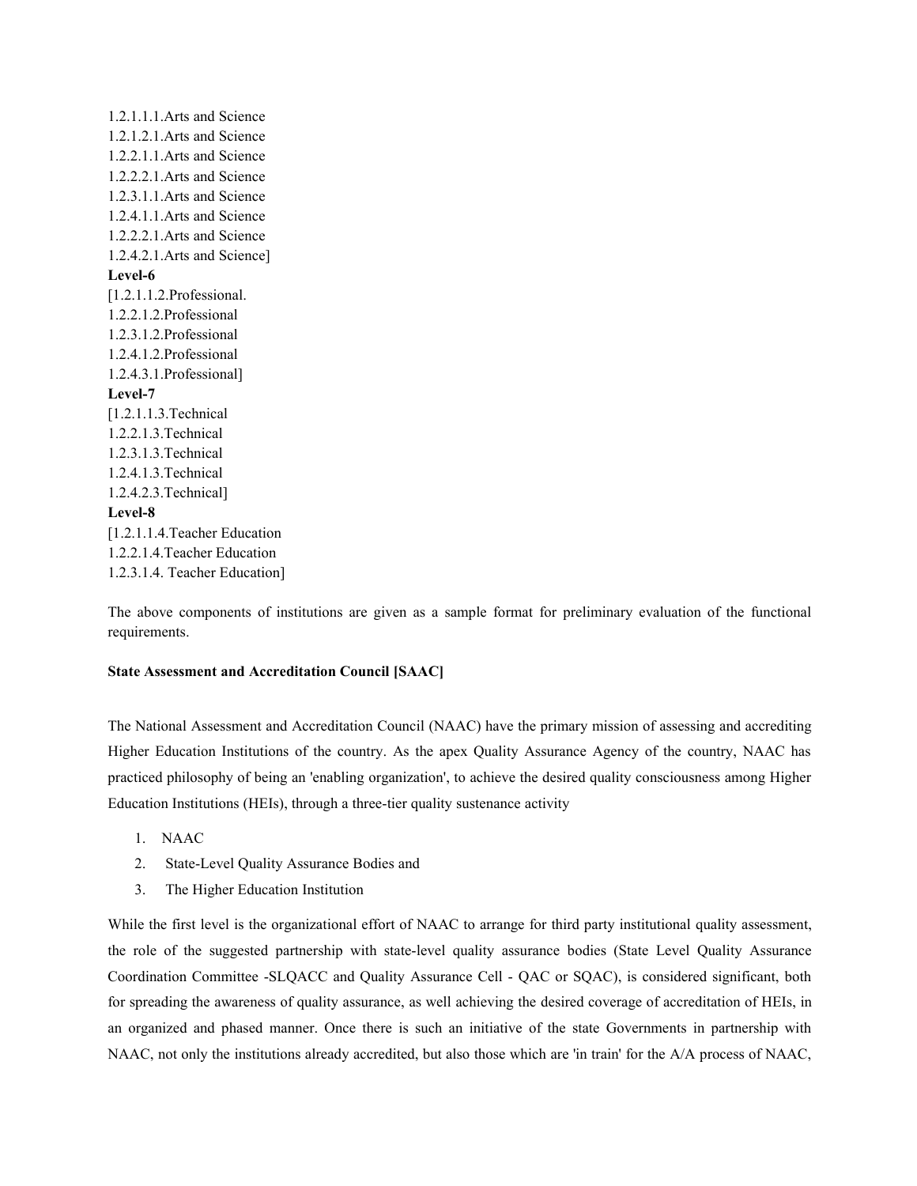1.2.1.1.1.Arts and Science 1.2.1.2.1.Arts and Science 1.2.2.1.1.Arts and Science 1.2.2.2.1.Arts and Science 1.2.3.1.1.Arts and Science 1.2.4.1.1.Arts and Science 1.2.2.2.1.Arts and Science 1.2.4.2.1.Arts and Science] **Level-6** [1.2.1.1.2.Professional. 1.2.2.1.2.Professional 1.2.3.1.2.Professional 1.2.4.1.2.Professional 1.2.4.3.1.Professional] **Level-7** [1.2.1.1.3.Technical 1.2.2.1.3.Technical 1.2.3.1.3.Technical 1.2.4.1.3.Technical 1.2.4.2.3.Technical] **Level-8** [1.2.1.1.4.Teacher Education 1.2.2.1.4.Teacher Education 1.2.3.1.4. Teacher Education]

The above components of institutions are given as a sample format for preliminary evaluation of the functional requirements.

## **State Assessment and Accreditation Council [SAAC]**

The National Assessment and Accreditation Council (NAAC) have the primary mission of assessing and accrediting Higher Education Institutions of the country. As the apex Quality Assurance Agency of the country, NAAC has practiced philosophy of being an 'enabling organization', to achieve the desired quality consciousness among Higher Education Institutions (HEIs), through a three-tier quality sustenance activity

- 1. NAAC
- 2. State-Level Quality Assurance Bodies and
- 3. The Higher Education Institution

While the first level is the organizational effort of NAAC to arrange for third party institutional quality assessment, the role of the suggested partnership with state-level quality assurance bodies (State Level Quality Assurance Coordination Committee -SLQACC and Quality Assurance Cell - QAC or SQAC), is considered significant, both for spreading the awareness of quality assurance, as well achieving the desired coverage of accreditation of HEIs, in an organized and phased manner. Once there issuch an initiative of the state Governments in partnership with NAAC, not only the institutions already accredited, but also those which are 'in train' for the A/A process of NAAC,